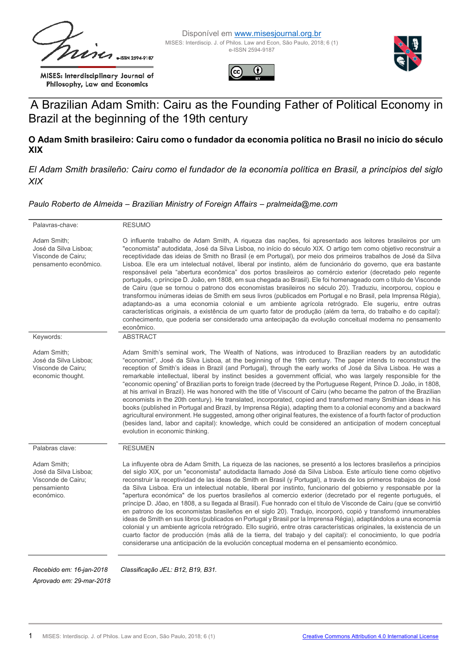$2594 - 9187$ 

MISES: Interdisciplinary Journal of Philosophy, Law and Economics







# A Brazilian Adam Smith: Cairu as the Founding Father of Political Economy in Brazil at the beginning of the 19th century

#### **O Adam Smith brasileiro: Cairu como o fundador da economia política no Brasil no início do século XIX**

*El Adam Smith brasileño: Cairu como el fundador de la economía política en Brasil, a princípios del siglo XIX* 

#### *Paulo Roberto de Almeida – Brazilian Ministry of Foreign Affairs – pralmeida@me.com*

| Palavras-chave:                                                                         | <b>RESUMO</b>                                                                                                                                                                                                                                                                                                                                                                                                                                                                                                                                                                                                                                                                                                                                                                                                                                                                                                                                                                                                                                                                                                                                                                                                                                                                                          |
|-----------------------------------------------------------------------------------------|--------------------------------------------------------------------------------------------------------------------------------------------------------------------------------------------------------------------------------------------------------------------------------------------------------------------------------------------------------------------------------------------------------------------------------------------------------------------------------------------------------------------------------------------------------------------------------------------------------------------------------------------------------------------------------------------------------------------------------------------------------------------------------------------------------------------------------------------------------------------------------------------------------------------------------------------------------------------------------------------------------------------------------------------------------------------------------------------------------------------------------------------------------------------------------------------------------------------------------------------------------------------------------------------------------|
| Adam Smith;<br>José da Silva Lisboa;<br>Visconde de Cairu;<br>pensamento econômico.     | O influente trabalho de Adam Smith, A riqueza das nações, foi apresentado aos leitores brasileiros por um<br>"economista" autodidata, José da Silva Lisboa, no início do século XIX. O artigo tem como objetivo reconstruir a<br>receptividade das ideias de Smith no Brasil (e em Portugal), por meio dos primeiros trabalhos de José da Silva<br>Lisboa. Ele era um intelectual notável, liberal por instinto, além de funcionário do governo, que era bastante<br>responsável pela "abertura econômica" dos portos brasileiros ao comércio exterior (decretado pelo regente<br>português, o príncipe D. João, em 1808, em sua chegada ao Brasil). Ele foi homenageado com o título de Visconde<br>de Cairu (que se tornou o patrono dos economistas brasileiros no século 20). Traduziu, incorporou, copiou e<br>transformou inúmeras ideias de Smith em seus livros (publicados em Portugal e no Brasil, pela Imprensa Régia),<br>adaptando-as a uma economia colonial e um ambiente agrícola retrógrado. Ele sugeriu, entre outras<br>características originais, a existência de um quarto fator de produção (além da terra, do trabalho e do capital):<br>conhecimento, que poderia ser considerado uma antecipação da evolução conceitual moderna no pensamento<br>econômico.                   |
| Keywords:                                                                               | <b>ABSTRACT</b>                                                                                                                                                                                                                                                                                                                                                                                                                                                                                                                                                                                                                                                                                                                                                                                                                                                                                                                                                                                                                                                                                                                                                                                                                                                                                        |
| Adam Smith;<br>José da Silva Lisboa:<br>Visconde de Cairu;<br>economic thought.         | Adam Smith's seminal work, The Wealth of Nations, was introduced to Brazilian readers by an autodidatic<br>"economist", José da Silva Lisboa, at the beginning of the 19th century. The paper intends to reconstruct the<br>reception of Smith's ideas in Brazil (and Portugal), through the early works of José da Silva Lisboa. He was a<br>remarkable intellectual, liberal by instinct besides a government official, who was largely responsible for the<br>"economic opening" of Brazilian ports to foreign trade (decreed by the Portuguese Regent, Prince D. João, in 1808,<br>at his arrival in Brazil). He was honored with the title of Viscount of Cairu (who became the patron of the Brazilian<br>economists in the 20th century). He translated, incorporated, copied and transformed many Smithian ideas in his<br>books (published in Portugal and Brazil, by Imprensa Régia), adapting them to a colonial economy and a backward<br>agricultural environment. He suggested, among other original features, the existence of a fourth factor of production<br>(besides land, labor and capital): knowledge, which could be considered an anticipation of modern conceptual<br>evolution in economic thinking.                                                                         |
| Palabras clave:                                                                         | <b>RESUMEN</b>                                                                                                                                                                                                                                                                                                                                                                                                                                                                                                                                                                                                                                                                                                                                                                                                                                                                                                                                                                                                                                                                                                                                                                                                                                                                                         |
| Adam Smith;<br>José da Silva Lisboa;<br>Visconde de Cairu;<br>pensamiento<br>económico. | La influyente obra de Adam Smith, La riqueza de las naciones, se presentó a los lectores brasileños a principios<br>del siglo XIX, por un "economista" autodidacta llamado José da Silva Lisboa. Este artículo tiene como objetivo<br>reconstruir la receptividad de las ideas de Smith en Brasil (y Portugal), a través de los primeros trabajos de José<br>da Silva Lisboa. Era un intelectual notable, liberal por instinto, funcionario del gobierno y responsable por la<br>"apertura económica" de los puertos brasileños al comercio exterior (decretado por el regente portugués, el<br>príncipe D. Jõao, en 1808, a su llegada al Brasil). Fue honrado con el título de Visconde de Cairu (que se convirtió<br>en patrono de los economistas brasileños en el siglo 20). Tradujo, incorporó, copió y transformó innumerables<br>ideas de Smith en sus libros (publicados en Portugal y Brasil por la Imprensa Régia), adaptándolos a una economía<br>colonial y un ambiente agrícola retrógrado. Ello sugirió, entre otras características originales, la existencia de un<br>cuarto factor de producción (más allá de la tierra, del trabajo y del capital): el conocimiento, lo que podría<br>considerarse una anticipación de la evolución conceptual moderna en el pensamiento económico. |
| Recebido em: 16-jan-2018<br>Aprovado em: 29-mar-2018                                    | Classificação JEL: B12, B19, B31.                                                                                                                                                                                                                                                                                                                                                                                                                                                                                                                                                                                                                                                                                                                                                                                                                                                                                                                                                                                                                                                                                                                                                                                                                                                                      |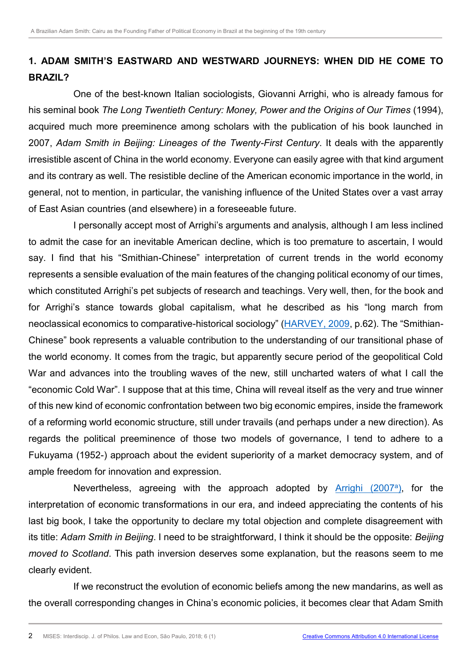## **1. ADAM SMITH'S EASTWARD AND WESTWARD JOURNEYS: WHEN DID HE COME TO BRAZIL?**

One of the best-known Italian sociologists, Giovanni Arrighi, who is already famous for his seminal book *The Long Twentieth Century: Money, Power and the Origins of Our Times* (1994), acquired much more preeminence among scholars with the publication of his book launched in 2007, *Adam Smith in Beijing: Lineages of the Twenty-First Century*. It deals with the apparently irresistible ascent of China in the world economy. Everyone can easily agree with that kind argument and its contrary as well. The resistible decline of the American economic importance in the world, in general, not to mention, in particular, the vanishing influence of the United States over a vast array of East Asian countries (and elsewhere) in a foreseeable future.

<span id="page-1-1"></span>I personally accept most of Arrighi's arguments and analysis, although I am less inclined to admit the case for an inevitable American decline, which is too premature to ascertain, I would say. I find that his "Smithian-Chinese" interpretation of current trends in the world economy represents a sensible evaluation of the main features of the changing political economy of our times, which constituted Arrighi's pet subjects of research and teachings. Very well, then, for the book and for Arrighi's stance towards global capitalism, what he described as his "long march from neoclassical economics to comparative-historical sociology" ([HARVEY, 2009](#page-13-0), p.62). The "Smithian-Chinese" book represents a valuable contribution to the understanding of our transitional phase of the world economy. It comes from the tragic, but apparently secure period of the geopolitical Cold War and advances into the troubling waves of the new, still uncharted waters of what I call the "economic Cold War". I suppose that at this time, China will reveal itself as the very and true winner of this new kind of economic confrontation between two big economic empires, inside the framework of a reforming world economic structure, still under travails (and perhaps under a new direction). As regards the political preeminence of those two models of governance, I tend to adhere to a Fukuyama (1952-) approach about the evident superiority of a market democracy system, and of ample freedom for innovation and expression.

<span id="page-1-0"></span>Nevertheless, agreeing with the approach adopted by **[Arrighi \(2007](#page-13-1)<sup>a</sup>)</u>**, for the interpretation of economic transformations in our era, and indeed appreciating the contents of his last big book, I take the opportunity to declare my total objection and complete disagreement with its title: *Adam Smith in Beijing*. I need to be straightforward, I think it should be the opposite: *Beijing moved to Scotland*. This path inversion deserves some explanation, but the reasons seem to me clearly evident.

If we reconstruct the evolution of economic beliefs among the new mandarins, as well as the overall corresponding changes in China's economic policies, it becomes clear that Adam Smith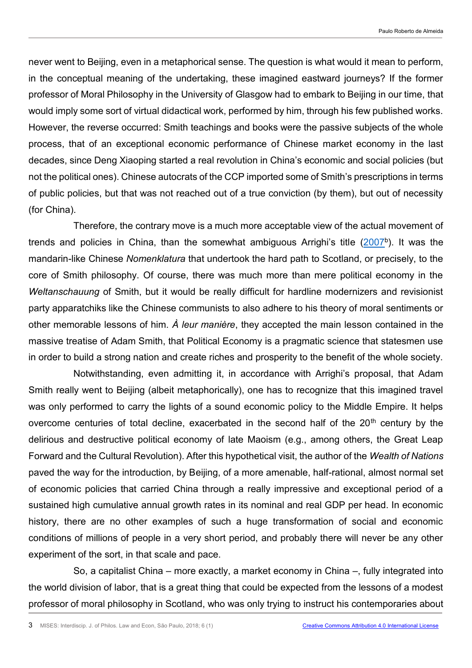never went to Beijing, even in a metaphorical sense. The question is what would it mean to perform, in the conceptual meaning of the undertaking, these imagined eastward journeys? If the former professor of Moral Philosophy in the University of Glasgow had to embark to Beijing in our time, that would imply some sort of virtual didactical work, performed by him, through his few published works. However, the reverse occurred: Smith teachings and books were the passive subjects of the whole process, that of an exceptional economic performance of Chinese market economy in the last decades, since Deng Xiaoping started a real revolution in China's economic and social policies (but not the political ones). Chinese autocrats of the CCP imported some of Smith's prescriptions in terms of public policies, but that was not reached out of a true conviction (by them), but out of necessity (for China).

<span id="page-2-0"></span>Therefore, the contrary move is a much more acceptable view of the actual movement of trends and policies in China, than the somewhat ambiguous Arrighi's title [\(2007](#page-13-1)b). It was the mandarin-like Chinese *Nomenklatura* that undertook the hard path to Scotland, or precisely, to the core of Smith philosophy. Of course, there was much more than mere political economy in the *Weltanschauung* of Smith, but it would be really difficult for hardline modernizers and revisionist party apparatchiks like the Chinese communists to also adhere to his theory of moral sentiments or other memorable lessons of him. *À leur manière*, they accepted the main lesson contained in the massive treatise of Adam Smith, that Political Economy is a pragmatic science that statesmen use in order to build a strong nation and create riches and prosperity to the benefit of the whole society.

Notwithstanding, even admitting it, in accordance with Arrighi's proposal, that Adam Smith really went to Beijing (albeit metaphorically), one has to recognize that this imagined travel was only performed to carry the lights of a sound economic policy to the Middle Empire. It helps overcome centuries of total decline, exacerbated in the second half of the  $20<sup>th</sup>$  century by the delirious and destructive political economy of late Maoism (e.g., among others, the Great Leap Forward and the Cultural Revolution). After this hypothetical visit, the author of the *Wealth of Nations*  paved the way for the introduction, by Beijing, of a more amenable, half-rational, almost normal set of economic policies that carried China through a really impressive and exceptional period of a sustained high cumulative annual growth rates in its nominal and real GDP per head. In economic history, there are no other examples of such a huge transformation of social and economic conditions of millions of people in a very short period, and probably there will never be any other experiment of the sort, in that scale and pace.

So, a capitalist China – more exactly, a market economy in China –, fully integrated into the world division of labor, that is a great thing that could be expected from the lessons of a modest professor of moral philosophy in Scotland, who was only trying to instruct his contemporaries about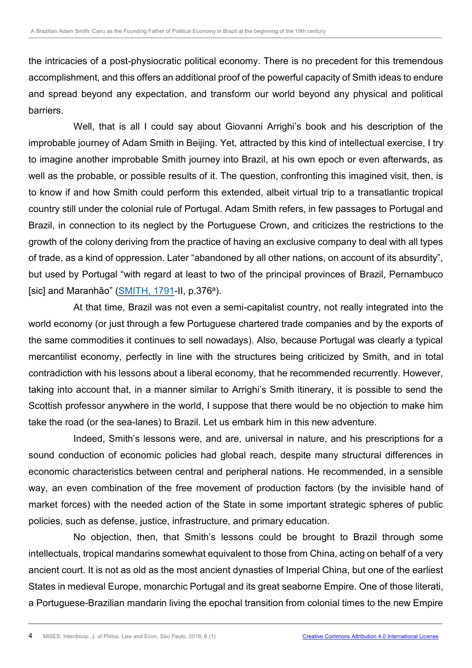the intricacies of a post-physiocratic political economy. There is no precedent for this tremendous accomplishment, and this offers an additional proof of the powerful capacity of Smith ideas to endure and spread beyond any expectation, and transform our world beyond any physical and political barriers.

Well, that is all I could say about Giovanni Arrighi's book and his description of the improbable journey of Adam Smith in Beijing. Yet, attracted by this kind of intellectual exercise, I try to imagine another improbable Smith journey into Brazil, at his own epoch or even afterwards, as well as the probable, or possible results of it. The question, confronting this imagined visit, then, is to know if and how Smith could perform this extended, albeit virtual trip to a transatlantic tropical country still under the colonial rule of Portugal. Adam Smith refers, in few passages to Portugal and Brazil, in connection to its neglect by the Portuguese Crown, and criticizes the restrictions to the growth of the colony deriving from the practice of having an exclusive company to deal with all types of trade, as a kind of oppression. Later "abandoned by all other nations, on account of its absurdity", but used by Portugal "with regard at least to two of the principal provinces of Brazil, Pernambuco [sic] and Maranhão" ([SMITH, 1791-](#page-13-2)II, p.376<sup>a</sup>).

<span id="page-3-0"></span>At that time, Brazil was not even a semi-capitalist country, not really integrated into the world economy (or just through a few Portuguese chartered trade companies and by the exports of the same commodities it continues to sell nowadays). Also, because Portugal was clearly a typical mercantilist economy, perfectly in line with the structures being criticized by Smith, and in total contradiction with his lessons about a liberal economy, that he recommended recurrently. However, taking into account that, in a manner similar to Arrighi's Smith itinerary, it is possible to send the Scottish professor anywhere in the world, I suppose that there would be no objection to make him take the road (or the sea-lanes) to Brazil. Let us embark him in this new adventure.

Indeed, Smith's lessons were, and are, universal in nature, and his prescriptions for a sound conduction of economic policies had global reach, despite many structural differences in economic characteristics between central and peripheral nations. He recommended, in a sensible way, an even combination of the free movement of production factors (by the invisible hand of market forces) with the needed action of the State in some important strategic spheres of public policies, such as defense, justice, infrastructure, and primary education.

No objection, then, that Smith's lessons could be brought to Brazil through some intellectuals, tropical mandarins somewhat equivalent to those from China, acting on behalf of a very ancient court. It is not as old as the most ancient dynasties of Imperial China, but one of the earliest States in medieval Europe, monarchic Portugal and its great seaborne Empire. One of those literati, a Portuguese-Brazilian mandarin living the epochal transition from colonial times to the new Empire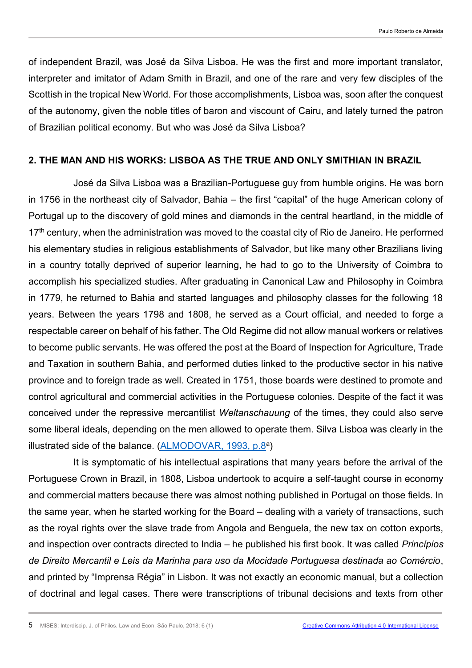of independent Brazil, was José da Silva Lisboa. He was the first and more important translator, interpreter and imitator of Adam Smith in Brazil, and one of the rare and very few disciples of the Scottish in the tropical New World. For those accomplishments, Lisboa was, soon after the conquest of the autonomy, given the noble titles of baron and viscount of Cairu, and lately turned the patron of Brazilian political economy. But who was José da Silva Lisboa?

#### **2. THE MAN AND HIS WORKS: LISBOA AS THE TRUE AND ONLY SMITHIAN IN BRAZIL**

José da Silva Lisboa was a Brazilian-Portuguese guy from humble origins. He was born in 1756 in the northeast city of Salvador, Bahia – the first "capital" of the huge American colony of Portugal up to the discovery of gold mines and diamonds in the central heartland, in the middle of 17<sup>th</sup> century, when the administration was moved to the coastal city of Rio de Janeiro. He performed his elementary studies in religious establishments of Salvador, but like many other Brazilians living in a country totally deprived of superior learning, he had to go to the University of Coimbra to accomplish his specialized studies. After graduating in Canonical Law and Philosophy in Coimbra in 1779, he returned to Bahia and started languages and philosophy classes for the following 18 years. Between the years 1798 and 1808, he served as a Court official, and needed to forge a respectable career on behalf of his father. The Old Regime did not allow manual workers or relatives to become public servants. He was offered the post at the Board of Inspection for Agriculture, Trade and Taxation in southern Bahia, and performed duties linked to the productive sector in his native province and to foreign trade as well. Created in 1751, those boards were destined to promote and control agricultural and commercial activities in the Portuguese colonies. Despite of the fact it was conceived under the repressive mercantilist *Weltanschauung* of the times, they could also serve some liberal ideals, depending on the men allowed to operate them. Silva Lisboa was clearly in the illustrated side of the balance. [\(ALMODOVAR, 1993, p.8](#page-13-3)<sup>a</sup>)

<span id="page-4-0"></span>It is symptomatic of his intellectual aspirations that many years before the arrival of the Portuguese Crown in Brazil, in 1808, Lisboa undertook to acquire a self-taught course in economy and commercial matters because there was almost nothing published in Portugal on those fields. In the same year, when he started working for the Board – dealing with a variety of transactions, such as the royal rights over the slave trade from Angola and Benguela, the new tax on cotton exports, and inspection over contracts directed to India – he published his first book. It was called *Princípios de Direito Mercantil e Leis da Marinha para uso da Mocidade Portuguesa destinada ao Comércio*, and printed by "Imprensa Régia" in Lisbon. It was not exactly an economic manual, but a collection of doctrinal and legal cases. There were transcriptions of tribunal decisions and texts from other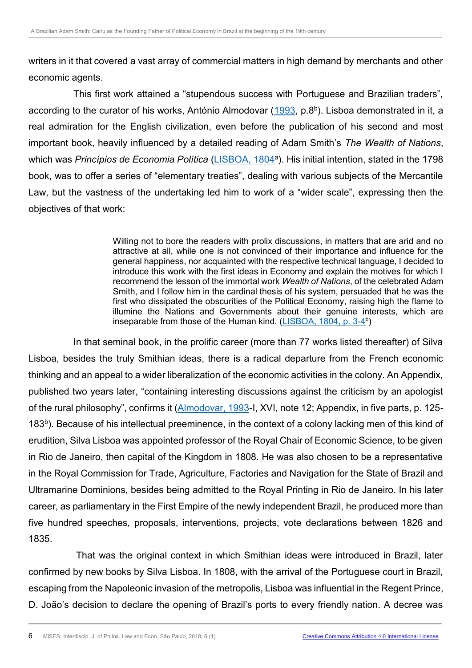writers in it that covered a vast array of commercial matters in high demand by merchants and other economic agents.

This first work attained a "stupendous success with Portuguese and Brazilian traders", according to the curator of his works, António Almodovar [\(1993,](#page-13-3) p.8<sup>b</sup>). Lisboa demonstrated in it, a real admiration for the English civilization, even before the publication of his second and most important book, heavily influenced by a detailed reading of Adam Smith's *The Wealth of Nations*, which was *Princípios de Economia Política* [\(LISBOA, 1804](#page-13-4)<sup>a</sup>). His initial intention, stated in the 1798 book, was to offer a series of "elementary treaties", dealing with various subjects of the Mercantile Law, but the vastness of the undertaking led him to work of a "wider scale", expressing then the objectives of that work:

> <span id="page-5-2"></span><span id="page-5-1"></span><span id="page-5-0"></span>Willing not to bore the readers with prolix discussions, in matters that are arid and no attractive at all, while one is not convinced of their importance and influence for the general happiness, nor acquainted with the respective technical language, I decided to introduce this work with the first ideas in Economy and explain the motives for which I recommend the lesson of the immortal work *Wealth of Nations*, of the celebrated Adam Smith, and I follow him in the cardinal thesis of his system, persuaded that he was the first who dissipated the obscurities of the Political Economy, raising high the flame to illumine the Nations and Governments about their genuine interests, which are inseparable from those of the Human kind. [\(LISBOA, 1804, p. 3-4](#page-13-4)<sup>b</sup>)

In that seminal book, in the prolific career (more than 77 works listed thereafter) of Silva Lisboa, besides the truly Smithian ideas, there is a radical departure from the French economic thinking and an appeal to a wider liberalization of the economic activities in the colony. An Appendix, published two years later, "containing interesting discussions against the criticism by an apologist of the rural philosophy", confirms it ([Almodovar, 1993-](#page-13-3)I, XVI, note 12; Appendix, in five parts, p. 125- 183<sup>b</sup>). Because of his intellectual preeminence, in the context of a colony lacking men of this kind of erudition, Silva Lisboa was appointed professor of the Royal Chair of Economic Science, to be given in Rio de Janeiro, then capital of the Kingdom in 1808. He was also chosen to be a representative in the Royal Commission for Trade, Agriculture, Factories and Navigation for the State of Brazil and Ultramarine Dominions, besides being admitted to the Royal Printing in Rio de Janeiro. In his later career, as parliamentary in the First Empire of the newly independent Brazil, he produced more than five hundred speeches, proposals, interventions, projects, vote declarations between 1826 and 1835.

That was the original context in which Smithian ideas were introduced in Brazil, later confirmed by new books by Silva Lisboa. In 1808, with the arrival of the Portuguese court in Brazil, escaping from the Napoleonic invasion of the metropolis, Lisboa was influential in the Regent Prince, D. João's decision to declare the opening of Brazil's ports to every friendly nation. A decree was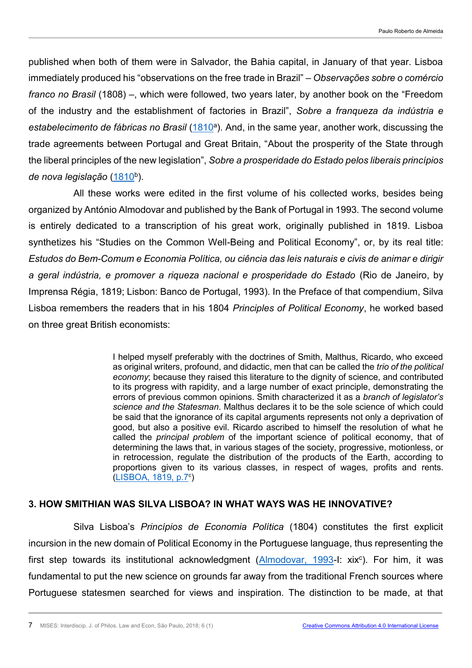<span id="page-6-0"></span>published when both of them were in Salvador, the Bahia capital, in January of that year. Lisboa immediately produced his "observations on the free trade in Brazil" – *Observações sobre o comércio franco no Brasil* (1808) –, which were followed, two years later, by another book on the "Freedom of the industry and the establishment of factories in Brazil", *Sobre a franqueza da indústria e*  estabelecimento de fábricas no Brasil [\(1810](#page-13-5)<sup>a</sup>). And, in the same year, another work, discussing the trade agreements between Portugal and Great Britain, "About the prosperity of the State through the liberal principles of the new legislation", *Sobre a prosperidade do Estado pelos liberais princípios*  de nova legislação [\(1810](#page-13-5)<sup>b</sup>).

<span id="page-6-1"></span>All these works were edited in the first volume of his collected works, besides being organized by António Almodovar and published by the Bank of Portugal in 1993. The second volume is entirely dedicated to a transcription of his great work, originally published in 1819. Lisboa synthetizes his "Studies on the Common Well-Being and Political Economy", or, by its real title: *Estudos do Bem-Comum e Economia Política, ou ciência das leis naturais e civis de animar e dirigir a geral indústria, e promover a riqueza nacional e prosperidade do Estado* (Rio de Janeiro, by Imprensa Régia, 1819; Lisbon: Banco de Portugal, 1993). In the Preface of that compendium, Silva Lisboa remembers the readers that in his 1804 *Principles of Political Economy*, he worked based on three great British economists:

> I helped myself preferably with the doctrines of Smith, Malthus, Ricardo, who exceed as original writers, profound, and didactic, men that can be called the *trio of the political economy*; because they raised this literature to the dignity of science, and contributed to its progress with rapidity, and a large number of exact principle, demonstrating the errors of previous common opinions. Smith characterized it as a *branch of legislator's science and the Statesman*. Malthus declares it to be the sole science of which could be said that the ignorance of its capital arguments represents not only a deprivation of good, but also a positive evil. Ricardo ascribed to himself the resolution of what he called the *principal problem* of the important science of political economy, that of determining the laws that, in various stages of the society, progressive, motionless, or in retrocession, regulate the distribution of the products of the Earth, according to proportions given to its various classes, in respect of wages, profits and rents. [\(LISBOA, 1819, p.7](#page-13-4)<sup>c</sup>)

### <span id="page-6-2"></span>**3. HOW SMITHIAN WAS SILVA LISBOA? IN WHAT WAYS WAS HE INNOVATIVE?**

Silva Lisboa's *Princípios de Economia Política* (1804) constitutes the first explicit incursion in the new domain of Political Economy in the Portuguese language, thus representing the first step towards its institutional acknowledgment [\(Almodovar, 1993-](#page-13-3)I: xix<sup>c</sup>). For him, it was fundamental to put the new science on grounds far away from the traditional French sources where Portuguese statesmen searched for views and inspiration. The distinction to be made, at that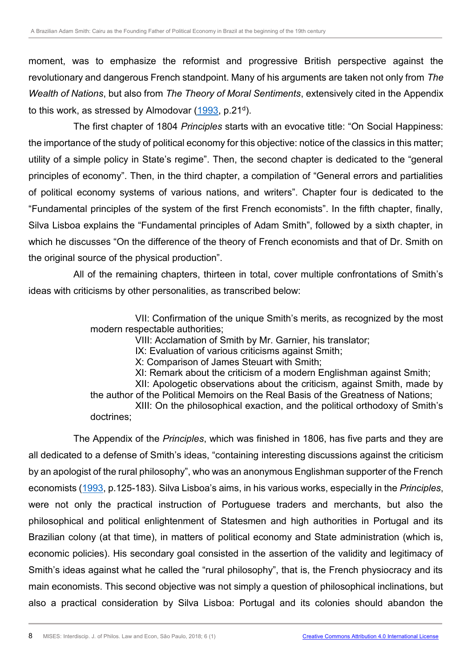moment, was to emphasize the reformist and progressive British perspective against the revolutionary and dangerous French standpoint. Many of his arguments are taken not only from *The Wealth of Nations*, but also from *The Theory of Moral Sentiments*, extensively cited in the Appendix to this work, as stressed by Almodovar [\(1993,](#page-13-3) p.21<sup>d</sup>).

<span id="page-7-0"></span>The first chapter of 1804 *Principles* starts with an evocative title: "On Social Happiness: the importance of the study of political economy for this objective: notice of the classics in this matter; utility of a simple policy in State's regime". Then, the second chapter is dedicated to the "general principles of economy". Then, in the third chapter, a compilation of "General errors and partialities of political economy systems of various nations, and writers". Chapter four is dedicated to the "Fundamental principles of the system of the first French economists". In the fifth chapter, finally, Silva Lisboa explains the "Fundamental principles of Adam Smith", followed by a sixth chapter, in which he discusses "On the difference of the theory of French economists and that of Dr. Smith on the original source of the physical production".

All of the remaining chapters, thirteen in total, cover multiple confrontations of Smith's ideas with criticisms by other personalities, as transcribed below:

> VII: Confirmation of the unique Smith's merits, as recognized by the most modern respectable authorities;

VIII: Acclamation of Smith by Mr. Garnier, his translator;

IX: Evaluation of various criticisms against Smith;

X: Comparison of James Steuart with Smith;

XI: Remark about the criticism of a modern Englishman against Smith; XII: Apologetic observations about the criticism, against Smith, made by the author of the Political Memoirs on the Real Basis of the Greatness of Nations; XIII: On the philosophical exaction, and the political orthodoxy of Smith's doctrines;

The Appendix of the *Principles*, which was finished in 1806, has five parts and they are all dedicated to a defense of Smith's ideas, "containing interesting discussions against the criticism by an apologist of the rural philosophy", who was an anonymous Englishman supporter of the French economists [\(1993,](#page-13-3) p.125-183). Silva Lisboa's aims, in his various works, especially in the *Principles*, were not only the practical instruction of Portuguese traders and merchants, but also the philosophical and political enlightenment of Statesmen and high authorities in Portugal and its Brazilian colony (at that time), in matters of political economy and State administration (which is, economic policies). His secondary goal consisted in the assertion of the validity and legitimacy of Smith's ideas against what he called the "rural philosophy", that is, the French physiocracy and its main economists. This second objective was not simply a question of philosophical inclinations, but also a practical consideration by Silva Lisboa: Portugal and its colonies should abandon the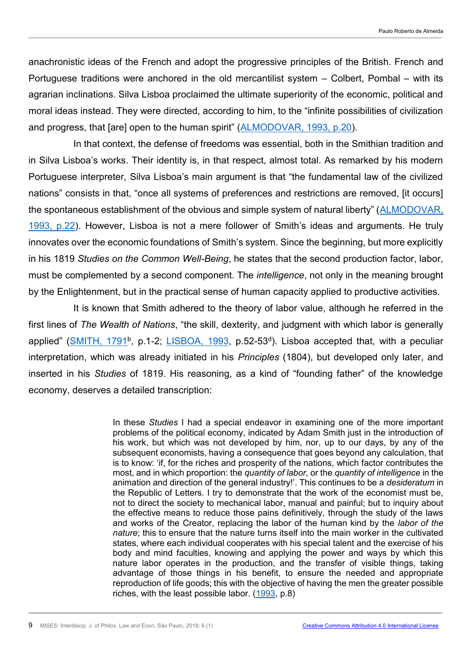anachronistic ideas of the French and adopt the progressive principles of the British. French and Portuguese traditions were anchored in the old mercantilist system – Colbert, Pombal – with its agrarian inclinations. Silva Lisboa proclaimed the ultimate superiority of the economic, political and moral ideas instead. They were directed, according to him, to the "infinite possibilities of civilization and progress, that [are] open to the human spirit" ([ALMODOVAR, 1993, p.20\)](#page-13-3).

<span id="page-8-0"></span>In that context, the defense of freedoms was essential, both in the Smithian tradition and in Silva Lisboa's works. Their identity is, in that respect, almost total. As remarked by his modern Portuguese interpreter, Silva Lisboa's main argument is that "the fundamental law of the civilized nations" consists in that, "once all systems of preferences and restrictions are removed, [it occurs] the spontaneous establishment of the obvious and simple system of natural liberty" ([ALMODOVAR,](#page-13-3)  [1993, p.22\)](#page-13-3). However, Lisboa is not a mere follower of Smith's ideas and arguments. He truly innovates over the economic foundations of Smith's system. Since the beginning, but more explicitly in his 1819 *Studies on the Common Well-Being*, he states that the second production factor, labor, must be complemented by a second component. The *intelligence*, not only in the meaning brought by the Enlightenment, but in the practical sense of human capacity applied to productive activities.

<span id="page-8-2"></span>It is known that Smith adhered to the theory of labor value, although he referred in the first lines of *The Wealth of Nations*, "the skill, dexterity, and judgment with which labor is generally applied" ([SMITH, 1791](#page-13-2)<sup>b</sup>, p.1-2; [LISBOA, 1993,](#page-13-4) p.52-53<sup>d</sup>). Lisboa accepted that, with a peculiar interpretation, which was already initiated in his *Principles* (1804), but developed only later, and inserted in his *Studies* of 1819. His reasoning, as a kind of "founding father" of the knowledge economy, deserves a detailed transcription:

> <span id="page-8-1"></span>In these *Studies* I had a special endeavor in examining one of the more important problems of the political economy, indicated by Adam Smith just in the introduction of his work, but which was not developed by him, nor, up to our days, by any of the subsequent economists, having a consequence that goes beyond any calculation, that is to know: 'if, for the riches and prosperity of the nations, which factor contributes the most, and in which proportion: the *quantity of labor*, or the *quantity of intelligence* in the animation and direction of the general industry!'. This continues to be a *desideratum* in the Republic of Letters. I try to demonstrate that the work of the economist must be, not to direct the society to mechanical labor, manual and painful; but to inquiry about the effective means to reduce those pains definitively, through the study of the laws and works of the Creator, replacing the labor of the human kind by the *labor of the nature*; this to ensure that the nature turns itself into the main worker in the cultivated states, where each individual cooperates with his special talent and the exercise of his body and mind faculties, knowing and applying the power and ways by which this nature labor operates in the production, and the transfer of visible things, taking advantage of those things in his benefit, to ensure the needed and appropriate reproduction of life goods; this with the objective of having the men the greater possible riches, with the least possible labor. [\(1993,](#page-13-4) p.8)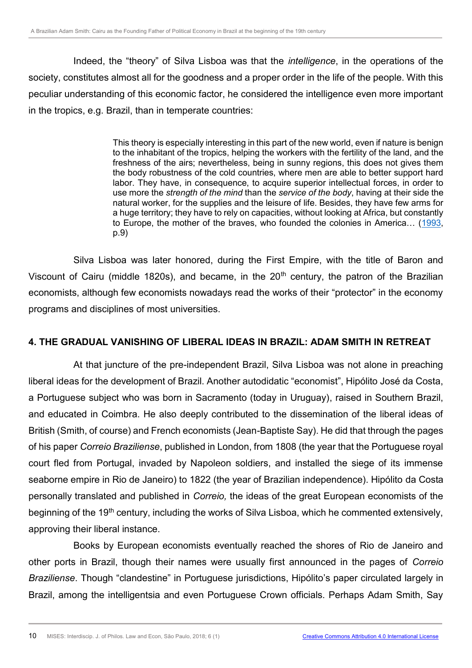Indeed, the "theory" of Silva Lisboa was that the *intelligence*, in the operations of the society, constitutes almost all for the goodness and a proper order in the life of the people. With this peculiar understanding of this economic factor, he considered the intelligence even more important in the tropics, e.g. Brazil, than in temperate countries:

> This theory is especially interesting in this part of the new world, even if nature is benign to the inhabitant of the tropics, helping the workers with the fertility of the land, and the freshness of the airs; nevertheless, being in sunny regions, this does not gives them the body robustness of the cold countries, where men are able to better support hard labor. They have, in consequence, to acquire superior intellectual forces, in order to use more the *strength of the mind* than the *service of the body*, having at their side the natural worker, for the supplies and the leisure of life. Besides, they have few arms for a huge territory; they have to rely on capacities, without looking at Africa, but constantly to Europe, the mother of the braves, who founded the colonies in America… ([1993,](#page-13-4) p.9)

Silva Lisboa was later honored, during the First Empire, with the title of Baron and Viscount of Cairu (middle 1820s), and became, in the  $20<sup>th</sup>$  century, the patron of the Brazilian economists, although few economists nowadays read the works of their "protector" in the economy programs and disciplines of most universities.

### **4. THE GRADUAL VANISHING OF LIBERAL IDEAS IN BRAZIL: ADAM SMITH IN RETREAT**

At that juncture of the pre-independent Brazil, Silva Lisboa was not alone in preaching liberal ideas for the development of Brazil. Another autodidatic "economist", Hipólito José da Costa, a Portuguese subject who was born in Sacramento (today in Uruguay), raised in Southern Brazil, and educated in Coimbra. He also deeply contributed to the dissemination of the liberal ideas of British (Smith, of course) and French economists (Jean-Baptiste Say). He did that through the pages of his paper *Correio Braziliense*, published in London, from 1808 (the year that the Portuguese royal court fled from Portugal, invaded by Napoleon soldiers, and installed the siege of its immense seaborne empire in Rio de Janeiro) to 1822 (the year of Brazilian independence). Hipólito da Costa personally translated and published in *Correio,* the ideas of the great European economists of the beginning of the 19<sup>th</sup> century, including the works of Silva Lisboa, which he commented extensively, approving their liberal instance.

Books by European economists eventually reached the shores of Rio de Janeiro and other ports in Brazil, though their names were usually first announced in the pages of *Correio Braziliense*. Though "clandestine" in Portuguese jurisdictions, Hipólito's paper circulated largely in Brazil, among the intelligentsia and even Portuguese Crown officials. Perhaps Adam Smith, Say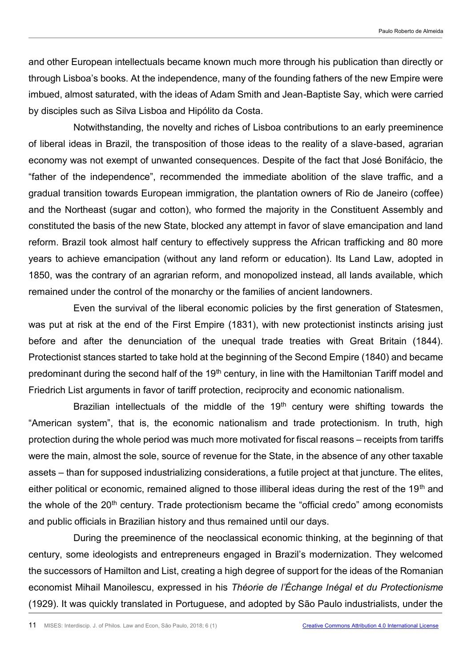and other European intellectuals became known much more through his publication than directly or through Lisboa's books. At the independence, many of the founding fathers of the new Empire were imbued, almost saturated, with the ideas of Adam Smith and Jean-Baptiste Say, which were carried by disciples such as Silva Lisboa and Hipólito da Costa.

Notwithstanding, the novelty and riches of Lisboa contributions to an early preeminence of liberal ideas in Brazil, the transposition of those ideas to the reality of a slave-based, agrarian economy was not exempt of unwanted consequences. Despite of the fact that José Bonifácio, the "father of the independence", recommended the immediate abolition of the slave traffic, and a gradual transition towards European immigration, the plantation owners of Rio de Janeiro (coffee) and the Northeast (sugar and cotton), who formed the majority in the Constituent Assembly and constituted the basis of the new State, blocked any attempt in favor of slave emancipation and land reform. Brazil took almost half century to effectively suppress the African trafficking and 80 more years to achieve emancipation (without any land reform or education). Its Land Law, adopted in 1850, was the contrary of an agrarian reform, and monopolized instead, all lands available, which remained under the control of the monarchy or the families of ancient landowners.

Even the survival of the liberal economic policies by the first generation of Statesmen, was put at risk at the end of the First Empire (1831), with new protectionist instincts arising just before and after the denunciation of the unequal trade treaties with Great Britain (1844). Protectionist stances started to take hold at the beginning of the Second Empire (1840) and became predominant during the second half of the 19<sup>th</sup> century, in line with the Hamiltonian Tariff model and Friedrich List arguments in favor of tariff protection, reciprocity and economic nationalism.

Brazilian intellectuals of the middle of the 19<sup>th</sup> century were shifting towards the "American system", that is, the economic nationalism and trade protectionism. In truth, high protection during the whole period was much more motivated for fiscal reasons – receipts from tariffs were the main, almost the sole, source of revenue for the State, in the absence of any other taxable assets – than for supposed industrializing considerations, a futile project at that juncture. The elites, either political or economic, remained aligned to those illiberal ideas during the rest of the 19<sup>th</sup> and the whole of the  $20<sup>th</sup>$  century. Trade protectionism became the "official credo" among economists and public officials in Brazilian history and thus remained until our days.

During the preeminence of the neoclassical economic thinking, at the beginning of that century, some ideologists and entrepreneurs engaged in Brazil's modernization. They welcomed the successors of Hamilton and List, creating a high degree of support for the ideas of the Romanian economist Mihail Manoilescu, expressed in his *Théorie de l'Échange Inégal et du Protectionisme* (1929). It was quickly translated in Portuguese, and adopted by São Paulo industrialists, under the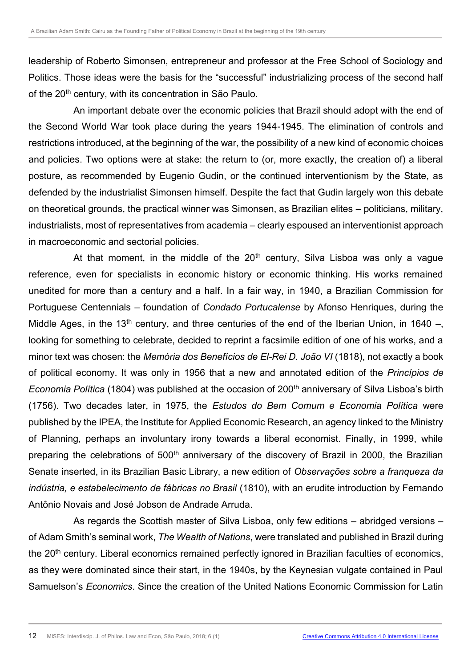leadership of Roberto Simonsen, entrepreneur and professor at the Free School of Sociology and Politics. Those ideas were the basis for the "successful" industrializing process of the second half of the 20<sup>th</sup> century, with its concentration in São Paulo.

An important debate over the economic policies that Brazil should adopt with the end of the Second World War took place during the years 1944-1945. The elimination of controls and restrictions introduced, at the beginning of the war, the possibility of a new kind of economic choices and policies. Two options were at stake: the return to (or, more exactly, the creation of) a liberal posture, as recommended by Eugenio Gudin, or the continued interventionism by the State, as defended by the industrialist Simonsen himself. Despite the fact that Gudin largely won this debate on theoretical grounds, the practical winner was Simonsen, as Brazilian elites – politicians, military, industrialists, most of representatives from academia – clearly espoused an interventionist approach in macroeconomic and sectorial policies.

At that moment, in the middle of the  $20<sup>th</sup>$  century, Silva Lisboa was only a vague reference, even for specialists in economic history or economic thinking. His works remained unedited for more than a century and a half. In a fair way, in 1940, a Brazilian Commission for Portuguese Centennials – foundation of *Condado Portucalense* by Afonso Henriques, during the Middle Ages, in the 13<sup>th</sup> century, and three centuries of the end of the Iberian Union, in 1640 –, looking for something to celebrate, decided to reprint a facsimile edition of one of his works, and a minor text was chosen: the *Memória dos Benefícios de El-Rei D. João VI* (1818), not exactly a book of political economy. It was only in 1956 that a new and annotated edition of the *Princípios de Economia Política* (1804) was published at the occasion of 200<sup>th</sup> anniversary of Silva Lisboa's birth (1756). Two decades later, in 1975, the *Estudos do Bem Comum e Economia Política* were published by the IPEA, the Institute for Applied Economic Research, an agency linked to the Ministry of Planning, perhaps an involuntary irony towards a liberal economist. Finally, in 1999, while preparing the celebrations of 500<sup>th</sup> anniversary of the discovery of Brazil in 2000, the Brazilian Senate inserted, in its Brazilian Basic Library, a new edition of *Observações sobre a franqueza da indústria, e estabelecimento de fábricas no Brasil* (1810), with an erudite introduction by Fernando Antônio Novais and José Jobson de Andrade Arruda.

As regards the Scottish master of Silva Lisboa, only few editions – abridged versions – of Adam Smith's seminal work, *The Wealth of Nations*, were translated and published in Brazil during the 20<sup>th</sup> century. Liberal economics remained perfectly ignored in Brazilian faculties of economics, as they were dominated since their start, in the 1940s, by the Keynesian vulgate contained in Paul Samuelson's *Economics*. Since the creation of the United Nations Economic Commission for Latin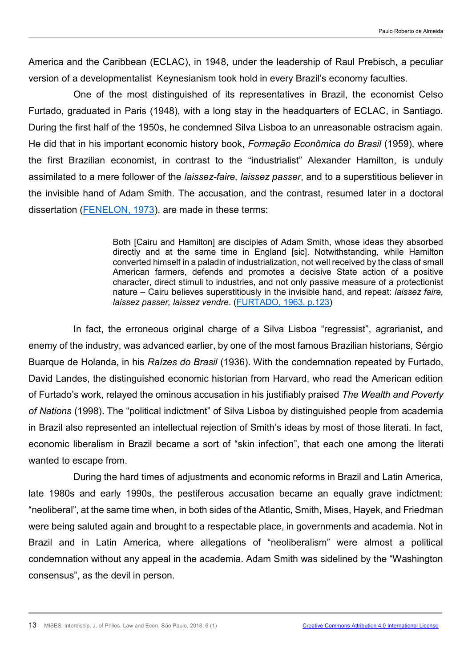America and the Caribbean (ECLAC), in 1948, under the leadership of Raul Prebisch, a peculiar version of a developmentalist Keynesianism took hold in every Brazil's economy faculties.

One of the most distinguished of its representatives in Brazil, the economist Celso Furtado, graduated in Paris (1948), with a long stay in the headquarters of ECLAC, in Santiago. During the first half of the 1950s, he condemned Silva Lisboa to an unreasonable ostracism again. He did that in his important economic history book, *Formação Econômica do Brasil* (1959), where the first Brazilian economist, in contrast to the "industrialist" Alexander Hamilton, is unduly assimilated to a mere follower of the *laissez-faire, laissez passer*, and to a superstitious believer in the invisible hand of Adam Smith. The accusation, and the contrast, resumed later in a doctoral dissertation [\(FENELON, 1973\)](#page-13-6), are made in these terms:

> <span id="page-12-1"></span><span id="page-12-0"></span>Both [Cairu and Hamilton] are disciples of Adam Smith, whose ideas they absorbed directly and at the same time in England [sic]. Notwithstanding, while Hamilton converted himself in a paladin of industrialization, not well received by the class of small American farmers, defends and promotes a decisive State action of a positive character, direct stimuli to industries, and not only passive measure of a protectionist nature – Cairu believes superstitiously in the invisible hand, and repeat: *laissez faire, laissez passer, laissez vendre*. [\(FURTADO, 1963, p.123\)](#page-13-7)

In fact, the erroneous original charge of a Silva Lisboa "regressist", agrarianist, and enemy of the industry, was advanced earlier, by one of the most famous Brazilian historians, Sérgio Buarque de Holanda, in his *Raízes do Brasil* (1936). With the condemnation repeated by Furtado, David Landes, the distinguished economic historian from Harvard, who read the American edition of Furtado's work, relayed the ominous accusation in his justifiably praised *The Wealth and Poverty of Nations* (1998). The "political indictment" of Silva Lisboa by distinguished people from academia in Brazil also represented an intellectual rejection of Smith's ideas by most of those literati. In fact, economic liberalism in Brazil became a sort of "skin infection", that each one among the literati wanted to escape from.

During the hard times of adjustments and economic reforms in Brazil and Latin America, late 1980s and early 1990s, the pestiferous accusation became an equally grave indictment: "neoliberal", at the same time when, in both sides of the Atlantic, Smith, Mises, Hayek, and Friedman were being saluted again and brought to a respectable place, in governments and academia. Not in Brazil and in Latin America, where allegations of "neoliberalism" were almost a political condemnation without any appeal in the academia. Adam Smith was sidelined by the "Washington consensus", as the devil in person.